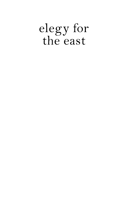# elegy for<br>the east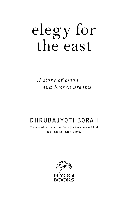# elegy for<br>the east

A story of blood and broken dreams

# DHRUBAJYOTI BORAH

Translated by the author from the Assamese original **KALANTARAR GADYA** 

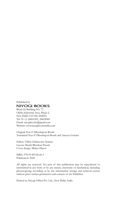#### Published by **NIYOGI BOOKS**

Block D, Building No. 77, Okhla Industrial Area, Phase-I, New Delhi-110 020, INDIA Tel: 91-11-26816301, 26818960 Email: niyogibooks@gmail.com Website: www.niyogibooksindia.com

Original Text © Dhrubajyoti Borah Translated Text © Dhrubajyoti Borah and Atreyee Gohain

Editor: Vibha Chakravarty Kumar Layout: Shashi Bhushan Prasad Cover design: Misha Oberoi

ISBN: 978-93-89136-66-1 Publication: 2020

All rights are reserved. No part of this publication may be reproduced or transmitted in any form or by any means, electronic or mechanical, including photocopying, recording or by any information storage and retrieval system without prior written permission and consent of the Publisher.

Printed at: Niyogi Offset Pvt. Ltd., New Delhi, India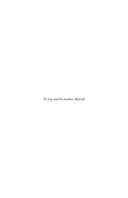*To Loy and his mother, Sharodi*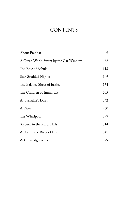# **CONTENTS**

| About Prabhat                         | 9   |
|---------------------------------------|-----|
| A Green World Swept by the Car Window | 62  |
| The Epic of Babula                    | 113 |
| Star-Studded Nights                   | 149 |
| The Balance Sheet of Justice          | 174 |
| The Children of Immortals             | 205 |
| A Journalist's Diary                  | 242 |
| A River                               | 260 |
| The Whirlpool                         | 299 |
| Sojourn in the Karbi Hills            | 314 |
| A Port in the River of Life           | 341 |
| Acknowledgements                      | 379 |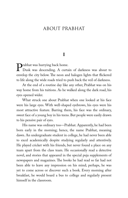## ABOUT PRABHAT

#### **I**

**Prabhat was hurrying back home.**<br>Dusk was descending. A curta<br>envelop the city below The neon and Dusk was descending. A curtain of darkness was about to envelop the city below. The neon and halogen lights that flickered to life along the wide roads tried to push back the veil of darkness.

At the end of a routine day like any other, Prabhat was on his way home from his tuitions. As he walked along the dark road, his eyes opened wider.

What struck one about Prabhat when one looked at his face were his large eyes. With well-shaped eyebrows, his eyes were his most attractive feature. Barring them, his face was the ordinary, sweet face of a young boy in his teens. But people were easily drawn to his pensive pair of eyes.

His name was ordinary too—Prabhat. Apparently, he had been born early in the morning; hence, the name Prabhat, meaning dawn. An undergraduate student in college, he had never been able to excel academically despite studying regularly and attentively. He played cricket with his friends, but never found a place on any team apart from the class team. He occasionally read a detective novel, and stories that appeared in the special puja supplements of newspapers and magazines. The books he had read so far had not been able to leave any impression on his mind; perhaps, he was yet to come across or discover such a book. Every morning after breakfast, he would board a bus to college and regularly present himself in the classroom.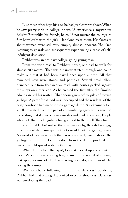Like most other boys his age, he had just learnt to shave. When he saw pretty girls in college, he would experience a mysterious delight. But unlike his friends, he could not muster the courage to flirt harmlessly with the girls—let alone tease them. His fantasies about women were still very simple, almost innocent. He liked listening to ghazals and subsequently experiencing a sense of selfindulgent desolation.

Prabhat was an ordinary college-going young man.

From the wide road to Prabhat's house, one had to walk for almost 200 metres. That was a narrow stretch, though one could make out that it had been paved once upon a time. All that remained now were stones and potholes. Several small alleys branched out from that narrow road, with houses packed against the alleys on either side. As he crossed the first alley, the familiar odour assailed his nostrils. That odour given off by piles of rotting garbage. A part of that road was unoccupied and the residents of the neighbourhood had made it their garbage dump. A sickeningly foul smell emanated from the pile of accumulating garbage—a smell so nauseating that it churned one's insides and made them gag. People who took that road regularly had got used to the smell. They found it uncomfortable, but unlike the new passers-by, they did not gag. Once in a while, municipality trucks would cart the garbage away. A crowd of labourers, with their noses covered, would shovel the garbage onto the trucks. The odour from the dump, prodded and pushed, would spread wide on that day.

When he reached that spot, Prabhat picked up speed out of habit. When he was a young boy, he used to be scared of crossing that spot, because of the few snarling feral dogs who would be nosing the dump.

Was somebody following him in the darkness? Suddenly, Prabhat had that feeling. He looked over his shoulders. Darkness was enveloping the road.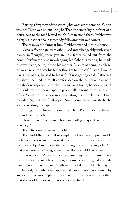Barring a few, most of the street lights were yet to come on. Where was he? There was no one in sight. Then the street light in front of a house next to the road blazed to life. A man stood there. Prabhat was right; his instinct about somebody following him was correct.

The man was looking at him. Prabhat hurried into his house.

'*Baba* (affectionate term often used interchangeably with given names in Bengali), there you are,' his father called out from the porch. Perfunctorily acknowledging his father's greeting, he made his way inside, calling out to his mother. In spite of being in college, he was like a little boy, his father thought to himself. 'Listen, I would like a cup of tea,' he said to his wife. It was getting cold. Gathering his shawl, he made himself comfortable on the bamboo chair with the day's newspaper. Now that his son was home, he was relieved. He could read his newspaper in peace. All he wanted was a hot cup of tea. What was this fragrance emanating from the kitchen? Fried papads? Right, it was fried papad. Smiling under his moustache, he started reading his paper.

Sitting next to his mother in the kitchen, Prabhat started having tea and fried papads.

How different were our school and college days! About 20-30 years ago?

The letters on the newspaper blurred.

The world then seemed so simple, enclosed in comprehensible patterns. Success in life was defined by the ability to study a technical subject such as medicine or engineering. 'Taking a line'… that was known as taking a line then. If you could take a line, your future was secure. A government job, marriage, an undramatic sex life approved by society, children, a house or two, a good secondhand if not a new car, and finally—a quiet demise. On the day of the funeral, the daily newspaper would carry an obituary penned by an overenthusiastic nephew or a friend of the children. It was then that the world discovered that such a man lived.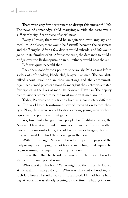There were very few occurrences to disrupt this uneventful life. The news of somebody's child marrying outside the caste was a sufficiently significant piece of social news.

Every 10 years, there would be an agitation over language and medium. At places, there would be fisticuffs between the Assamese and the Bengalis. After a few days it would subside, and life would go on in its familiar orbit. After some time, the demands to build a bridge over the Brahmaputra or an oil refinery would heat the air.

Life was quite peaceful then.

Back then, nobody took politics so seriously. Politics was left to a class of soft-spoken, khadi-clad, lawyer-like men. The socialists talked about revolution in their meetings and the communists organized armed protests among farmers, but their activities created few ripples in the lives of men like Narayan Hazarika. The deputy commissioner seemed to be the most important man around.

Today, Prabhat and his friends lived in a completely different era. The world had transformed beyond recognition before their eyes. Now, there were no celebrations among young men without liquor, and no politics without guns.

Yes, time had changed. And people like Prabhat's father, the Narayan Hazarikas, found themselves in trouble. They straddled two worlds uncomfortably; the old world was changing fast and they were unable to find their bearings in the new.

With a heavy sigh, Narayan Hazarika flipped the pages of the daily newspaper. Sipping his hot tea and munching fried papads, he began scanning the paper for some juicy news.

It was then that he heard the knock on the door. Hazarika started at the unexpected sound.

Who was it at this hour? What might be the time? He looked at his watch; it was past eight. Who was this visitor knocking at such late hour? Hazarika was a little annoyed. He had had a hard day at work. It was already evening by the time he had got home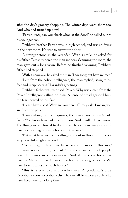after the day's grocery shopping. The winter days were short too. And who had turned up now?

'Paresh, *baba*, can you check who's at the door?' he called out to his younger son.

Prabhat's brother Paresh was in high school, and was studying in the next room. He rose to answer the door.

A stranger stood in the verandah. With a smile, he asked for his father. Paresh ushered the man indoors. Scanning the room, the man gave out a long yawn. Before he finished yawning, Prabhat's father had stepped in.

With a namaskar, he asked the man, 'I am sorry, but have we met?'

'I am from the police intelligence,' the man replied, rising to his feet and reciprocating Hazarika's greetings.

Prabhat's father was surprised. Police? Why was a man from the Police Intelligence calling on him? A sense of dread gripped him; the fear showed on his face.

'Please have a seat. Why are you here, if I may ask? I mean, you are from the police...'

'I am making routine enquiries,' the man answered matter-offactly. 'You know how bad it is right now. And it will only get worse. The things we are forced to do now are beyond our imagination. I have been calling on many houses in this area.'

'But what have you been calling on about in this area? This is a very peaceful nieghbourhood.'

'You are right, there have been no disturbances in this area,' the man nodded in agreement. 'But there are a lot of people here, the houses are cheek-by-jowl. And almost every house has tenants. Many of these tenants are school and college students. We have to keep an eye on such houses.'

'This is a very old, middle-class area. A gentleman's area. Everybody knows everybody else. They are all Assamese people who have lived here for a long time.'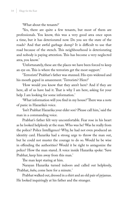'What about the tenants?'

'Yes, there are quite a few tenants, but most of them are professionals. You know, this was a very good area once upon a time, but it has deteriorated now. Do you see the state of the roads? And that awful garbage dump? It is difficult to use that road because of the stench. This neighbourhood is deteriorating and nobody is paying attention. This has become a very neglected area, you know.'

'Unfortunately, these are the places we have been forced to keep an eye on. This is where the terrorists get the most support.'

'Terrorists!' Prabhat's father was stunned. His eyes widened and his mouth gaped in amazement. 'Terrorists? Here?'

'How would you know that they aren't here? And if they are here, all of us have had it. That is why I am here, asking for your help. I am looking for some information.'

'What information will you find in my house?' There was a note of panic in Hazarika's voice.

'Isn't Prabhat Hazarika your elder son? Please call him,' said the man in a commanding voice.

Prabhat's father felt very uncomfortable. Fear rose in his heart as he looked helplessly at the man. Who was he? Was he really from the police? Police Intelligence? Why, he had not even produced an identity card. Hazarika had a strong urge to throw the man out, but he could not muster the courage to do so. Would he be wise in offending the authorities? Would it be right to antagonize the police? How the man stared. A voice inside Hazarika spoke: 'Save Prabhat, keep him away from this man.'

The man kept staring at him.

Narayan Hazarika turned indoors and called out helplessly, 'Prabhat, *baba*, come here for a minute.'

Prabhat walked out, dressed in a shirt and an old pair of pyjamas. He looked inquiringly at his father and the stranger.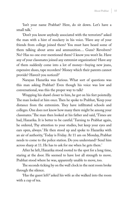'Isn't your name Prabhat? Here, do sit down. Let's have a small talk.'

'Don't you know anybody associated with the terrorists?' asked the man with a hint of mockery in his voice. 'Have any of your friends from college joined them? You must have heard some of them talking about arms and ammunition… Guns? Revolvers? No? Has no one ever mentioned them? I know you won't lie. Have any of your classmates joined any extremist organization? Have any of them suddenly come into a lot of money—buying new jeans, expensive shoes, tape recorders? Money which their parents cannot provide? Haven't you noticed?'

Narayan Hazarika was furious. What sort of questions was this man asking Prabhat? Even though his voice was low and conversational, was this the proper way to talk?

Wrapping his shawl closer to him, he got on his feet pointedly. The man looked at him once. Then he spoke to Prabhat, 'Keep your distance from the extremists. They have infiltrated schools and colleges. One does not know how many there might be among your classmates.' The man then looked at his father and said, 'Times are bad, Hazarika. It is better to be careful.' Turning to Prabhat again, he ordered, 'Pay attention to your studies, but keep your eyes and ears open, always.' He then stood up and spoke to Hazarika with an air of authority, 'Today is Friday. At 11 am on Monday, Prabhat needs to come to the police station. Do you understand? Send him across sharp at 11. He has to ask for me when he gets there.'

After he left, Hazarika stood rooted to the spot for a long time, staring at the door. He seemed to have lost all strength to move. Prabhat stood where he was, apparently unable to move, too.

The seconds ticking by on the wall clock in the next room broke through the silence.

'Has the guest left?' asked his wife as she walked into the room with a cup of tea.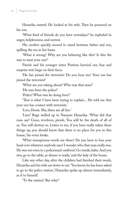Hazarika started. He looked at his wife. Then he pounced on his son.

'What kind of friends do you have nowadays?' he exploded in anger, helplessness, and sorrow.

His mother quickly moved to stand between father and son, spilling the tea in her haste.

'What is wrong? Why are you behaving like this? Is this the way to treat your son?'

Paresh and his younger sister Pratima hurried out, fear and surprise writ large on their faces.

'He has joined the terrorists! Do you hear me? Your son has joined the terrorists!'

'What are you taking about? Who was that man?'

'He was from the police!'

'Police! What was he doing here?'

'That is what I have been trying to explain... He told me that your son has contact with terrorists.'

'Lies, Deuta. Ma, these are all lies.'

'Lies?' Rage welled up in Narayan Hazarika. 'What did that man say? Guns, revolvers, pistols. You will be the death of all of us. You will destroy us. Listen to me, if you have really taken these things up, you should know that there is no place for you in this house,' his voice broke.

'What inauspicious words are these? Do you have to lose your head over whatever anybody says? I wonder who that man really was. He was not even in a policeman's uniform! Go inside, baba. And you two, go to the table, as dinner is ready,' said the lady of the house.

Like any other day, after the children had finished their meals, Hazarika and his wife sat down to eat. 'You know, he has been asked to go to the police station,' Hazarika spoke up almost immediately, as if to himself.

'To the station? But why?'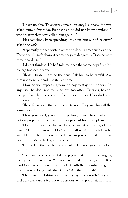'I have no clue. To answer some questions, I suppose. He was asked quite a few today. Prabhat said he did not know anything. I wonder why they have called him again…'

'Has somebody been spreading lies about him out of jealousy?' asked the wife.

'Apparently the terrorists have set up dens in areas such as ours. Those boardings for boys, it seems they are dangerous. Does he visit these boardings?'

'I do not think so. He had told me once that some boys from his college boarded nearby.'

'Those…those might be the dens. Ask him to be careful. Ask him not to go out and just stay at home.'

'How do you expect a grown-up boy to stay put indoors? In any case, he does not really go out too often. Tuitions, besides college. And then he visits his friends sometimes. How do I stop him every day?'

'These friends are the cause of all trouble. They give him all the wrong ideas.'

'Have your meal, you are only picking at your food. Baba did not eat properly either. Have another piece of fried fish, please.'

'Do you remember that nephew, or was it a brother, of our tenant? Is he still around? Don't you recall what a burly fellow he was? Had the built of a wrestler. How can you be sure that he was not a terrorist? Is the boy still around?'

'No, he left the day before yesterday. He said goodbye before he left.'

'You have to be very careful. Keep your distance from strangers, young men in particular. You women are taken in very easily. It is hard to say where these extremists lurk with their bombs and guns. The boys who lodge with the Borahs? Are they around?'

'I have no idea. I think you are worrying unnecessarily. They will probably ask *baba* a few more questions at the police station, and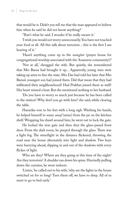that would be it. Didn't you tell me that the man appeared to believe him when he said he did not know anything?'

'That's what he said. I wonder if he really meant it.'

'I wish you would not worry unnecessarily. You have not touched your food at all. All this talk about terrorists…this is the first I am hearing of it.'

'Hasn't anything come up in the *namghar* (prayer house for congregational worship associated with the Assamese community)?'

'Not at all,' shrugged the wife. But quietly, she remembered that Mrs Barua had brought it up... Apparently, young men were taking up arms to free the state. Mrs Das had told her later that Mrs Barua's youngest son had joined them. Did that mean that they had infiltrated their neighbourhood? Had Prabhat joined them as well? Her heart missed a beat. But she mentioned nothing to her husband.

'Do you have to worry so much just because he has been called to the station? Why don't you go with him?' she said, while clearing the table.

Hazarika rose to his feet with a long sigh. Washing his hands, he helped himself to some *saunf* (anise) from the jar on the kitchen shelf. Wrapping his shawl around him, he went out to lock the gate.

He locked the iron gate and then shut the glass-paned front door. From the dark room, he peeped through the glass. There was a light fog. The streetlight in the distance flickered, throwing the road near the house alternately into light and shadow. Two boys were hurrying ahead, slipping in and out of the shadows with every flicker of light.

Who are they? Where are they going at this time of the night? Are they terrorists? A shudder ran down his spine. Hurriedly pulling down the curtains, he went indoors.

'Listen,' he called out to his wife, 'why are the lights in the house switched on for so long? Turn them off, we have to sleep. All of us must to go to bed early.'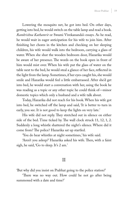Lowering the mosquito net, he got into bed. On other days, getting into bed, he would switch on the table lamp and read a book. *Ramkrishna Kathamrit* or Swami Vivekananda's essays. As he read, he would wait in eager anticipation for his wife to join him. After finishing her chores in the kitchen and checking on her sleeping children, his wife would walk into the bedroom, carrying a glass of water. When she shut the wooden bedroom door, Hazarika would be aware of her presence. The words on the book open in front of him would mist over. When his wife put the glass of water on the table next to the bed, he would steal a glance of her face, reflected in the light from the lamp. Sometimes, if her eyes caught his, she would smile and Hazarika would feel a little embarrassed. After she'd get into bed, he would start a conversation with her, using the book he was reading as a topic or any other topic he could think of—minor domestic topics which only a husband and a wife talk about.

Today, Hazarika did not reach for his book. When his wife got into bed, he switched off the lamp and said, 'It is better to turn in early, you see. It is not good to keep the lights on very late.'

His wife did not reply. They stretched out in silence on either side of the bed. Time ticked by. The wall clock struck 11, 12, 1, 2. Suddenly a long whistle shattered the night's silence. Where did it come from? The police? Hazarika sat up startled.

'You do hear whistles at night sometimes,' his wife said.

'Aren't you asleep?' Hazarika asked his wife. Then, with a faint sigh, he said, 'Go to sleep. It's 2 am.'

### II

'But why did you insist on Prabhat going to the police station?'

'There was no way out. How could he not go after being summoned with a date and time?'